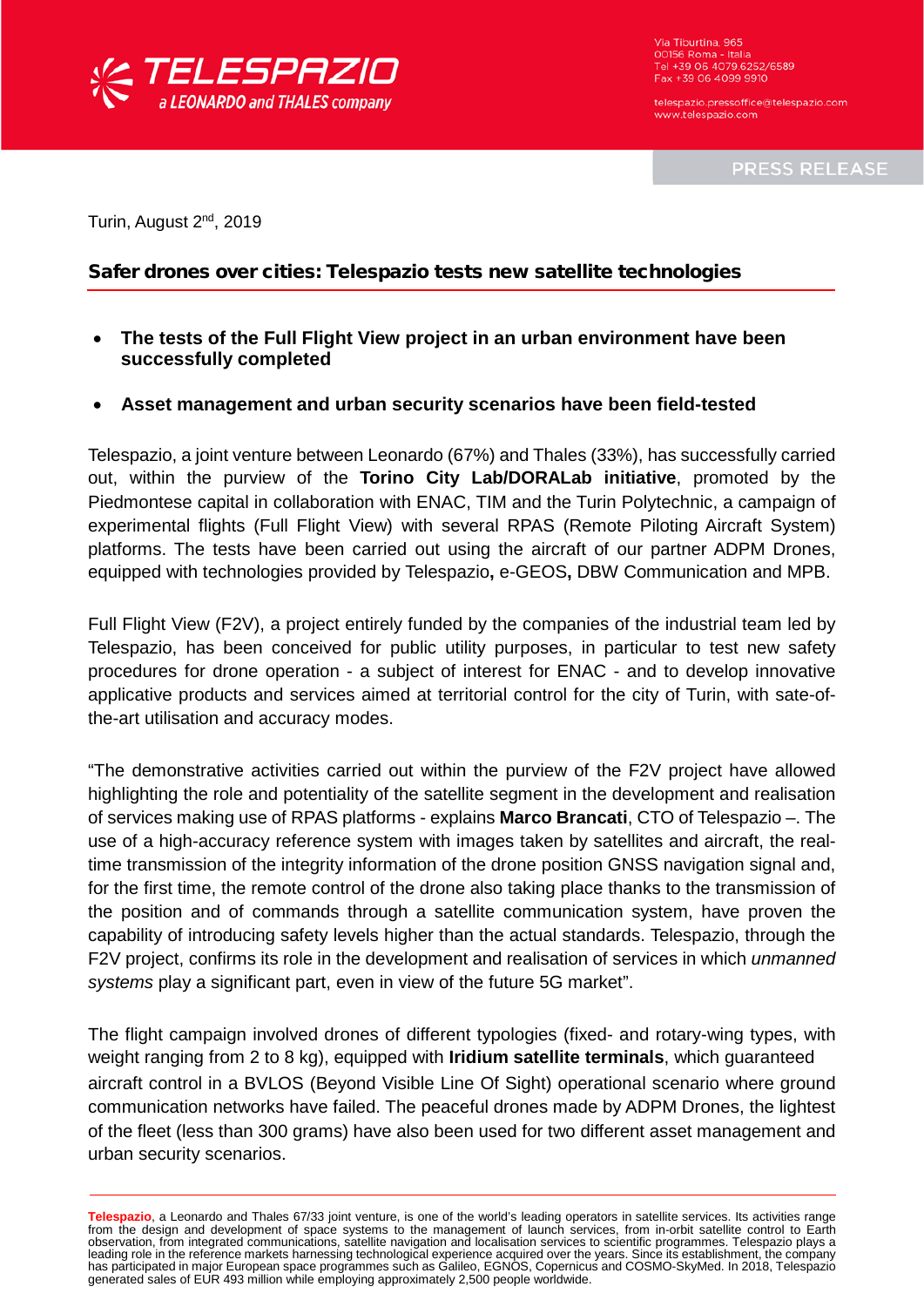

Via Tiburtina, 965 00156 Roma - Italia<br>Tel +39 06 4079.6252/6589 Fax +39 06 4099 9910

telespazio pressoffice@telespazio.com www.telespazio.com

**PRESS RELEASE** 

Turin, August 2<sup>nd</sup>, 2019

## Safer drones over cities: Telespazio tests new satellite technologies

- **The tests of the Full Flight View project in an urban environment have been successfully completed**
- **Asset management and urban security scenarios have been field-tested**

Telespazio, a joint venture between Leonardo (67%) and Thales (33%), has successfully carried out, within the purview of the **Torino City Lab/DORALab initiative**, promoted by the Piedmontese capital in collaboration with ENAC, TIM and the Turin Polytechnic, a campaign of experimental flights (Full Flight View) with several RPAS (Remote Piloting Aircraft System) platforms. The tests have been carried out using the aircraft of our partner ADPM Drones, equipped with technologies provided by Telespazio**,** e-GEOS**,** DBW Communication and MPB.

Full Flight View (F2V), a project entirely funded by the companies of the industrial team led by Telespazio, has been conceived for public utility purposes, in particular to test new safety procedures for drone operation - a subject of interest for ENAC - and to develop innovative applicative products and services aimed at territorial control for the city of Turin, with sate-ofthe-art utilisation and accuracy modes.

"The demonstrative activities carried out within the purview of the F2V project have allowed highlighting the role and potentiality of the satellite segment in the development and realisation of services making use of RPAS platforms - explains **Marco Brancati**, CTO of Telespazio –. The use of a high-accuracy reference system with images taken by satellites and aircraft, the realtime transmission of the integrity information of the drone position GNSS navigation signal and, for the first time, the remote control of the drone also taking place thanks to the transmission of the position and of commands through a satellite communication system, have proven the capability of introducing safety levels higher than the actual standards. Telespazio, through the F2V project, confirms its role in the development and realisation of services in which *unmanned systems* play a significant part, even in view of the future 5G market".

The flight campaign involved drones of different typologies (fixed- and rotary-wing types, with weight ranging from 2 to 8 kg), equipped with **Iridium satellite terminals**, which guaranteed aircraft control in a BVLOS (Beyond Visible Line Of Sight) operational scenario where ground communication networks have failed. The peaceful drones made by ADPM Drones, the lightest of the fleet (less than 300 grams) have also been used for two different asset management and urban security scenarios.

Telespazio, a Leonardo and Thales 67/33 joint venture, is one of the world's leading operators in satellite services. Its activities range<br>from the design and development of space systems to the management of launch servic leading role in the reference markets harnessing technological experience acquired over the years. Since its establishment, the company has participated in major European space programmes such as Galileo, EGNOS, Copernicus and COSMO-SkyMed. In 2018, Telespazio generated sales of EUR 493 million while employing approximately 2,500 people worldwide.